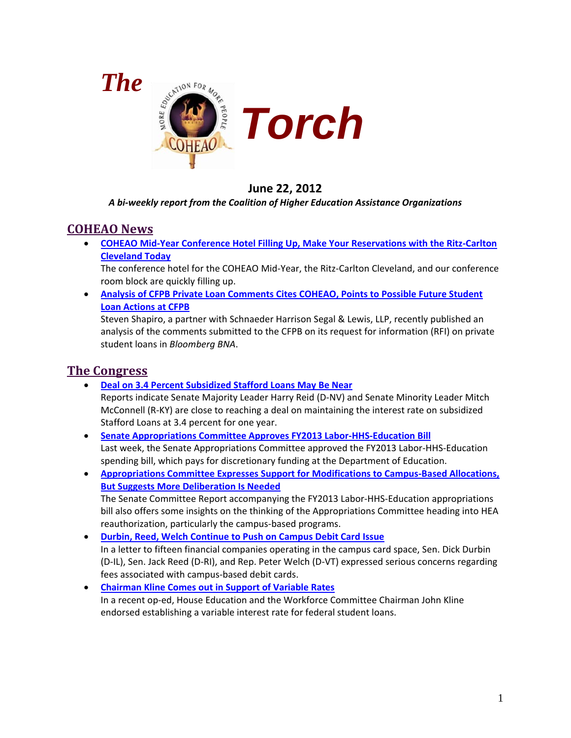

## **June 22, 2012**

#### *A bi-weekly report from the Coalition of Higher Education Assistance Organizations*

### **COHEAO News**

• **COHEAO Mid-Year Conference [Hotel Filling Up, Make Your Reservations with the Ritz-Carlton](#page-2-0)  [Cleveland Today](#page-2-0)**

The conference hotel for the COHEAO Mid-Year, the Ritz-Carlton Cleveland, and our conference room block are quickly filling up.

• **[Analysis of CFPB Private Loan Comments Cites COHEAO, Points to](#page-3-0) Possible Future Student [Loan Actions at CFPB](#page-3-0)**

Steven Shapiro, a partner with Schnaeder Harrison Segal & Lewis, LLP, recently published an analysis of the comments submitted to the CFPB on its request for information (RFI) on private student loans in *Bloomberg BNA*.

## **The Congress**

- **[Deal on 3.4 Percent Subsidized Stafford Loans May Be Near](#page-4-0)** Reports indicate Senate Majority Leader Harry Reid (D-NV) and Senate Minority Leader Mitch McConnell (R-KY) are close to reaching a deal on maintaining the interest rate on subsidized Stafford Loans at 3.4 percent for one year.
- **[Senate Appropriations Committee Approves FY2013 Labor-HHS-Education Bill](#page-5-0)** Last week, the Senate Appropriations Committee approved the FY2013 Labor-HHS-Education spending bill, which pays for discretionary funding at the Department of Education.
- **[Appropriations Committee Expresses Support for Modifications to Campus-Based Allocations,](#page-6-0)  [But Suggests More Deliberation Is Needed](#page-6-0)** The Senate Committee Report accompanying the FY2013 Labor-HHS-Education appropriations bill also offers some insights on the thinking of the Appropriations Committee heading into HEA reauthorization, particularly the campus-based programs.
- **[Durbin, Reed, Welch Continue to Push on Campus Debit Card Issue](#page-6-1)** In a letter to fifteen financial companies operating in the campus card space, Sen. Dick Durbin (D-IL), Sen. Jack Reed (D-RI), and Rep. Peter Welch (D-VT) expressed serious concerns regarding fees associated with campus-based debit cards.
- **[Chairman Kline Comes out in Support of Variable Rates](#page-7-0)** In a recent op-ed, House Education and the Workforce Committee Chairman John Kline endorsed establishing a variable interest rate for federal student loans.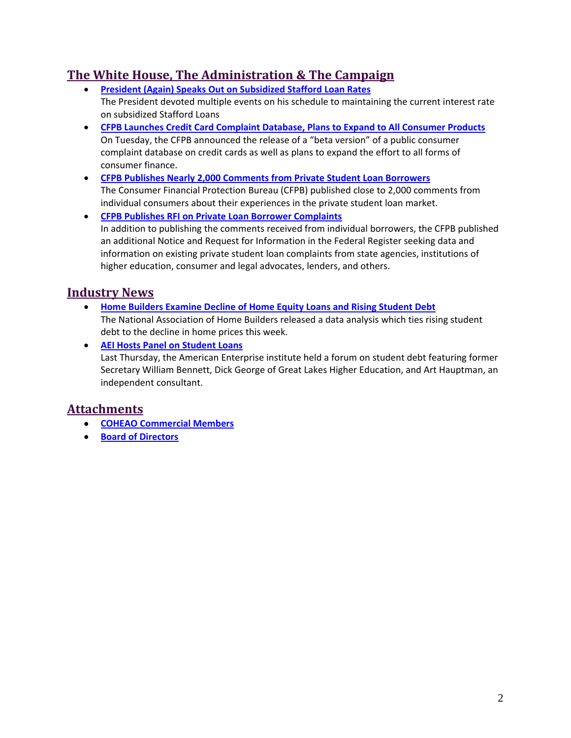## **The White House, The Administration & The Campaign**

- **[President \(Again\) Speaks Out on Subsidized Stafford Loan Rates](#page-7-1)** The President devoted multiple events on his schedule to maintaining the current interest rate on subsidized Stafford Loans
- **[CFPB Launches Credit Card Complaint Database, Plans to Expand to All Consumer Products](#page-8-0)** On Tuesday, the CFPB announced the release of a "beta version" of a public consumer complaint database on credit cards as well as plans to expand the effort to all forms of consumer finance.
- **[CFPB Publishes Nearly 2,000 Comments from Private Student Loan Borrowers](#page-8-1)** The Consumer Financial Protection Bureau (CFPB) published close to 2,000 comments from individual consumers about their experiences in the private student loan market.
- **[CFPB Publishes RFI on Private Loan Borrower Complaints](#page-9-0)** In addition to publishing the comments received from individual borrowers, the CFPB published an additional Notice and Request for Information in the Federal Register seeking data and information on existing private student loan complaints from state agencies, institutions of higher education, consumer and legal advocates, lenders, and others.

## **Industry News**

- **[Home Builders Examine Decline of Home Equity Loans and Rising Student Debt](#page-10-0)** The National Association of Home Builders released a data analysis which ties rising student debt to the decline in home prices this week.
- **[AEI Hosts Panel on Student Loans](#page-11-0)** Last Thursday, the American Enterprise institute held a forum on student debt featuring former Secretary William Bennett, Dick George of Great Lakes Higher Education, and Art Hauptman, an independent consultant.

## **Attachments**

- **[COHEAO Commercial Members](#page-12-0)**
- **Board of Directors**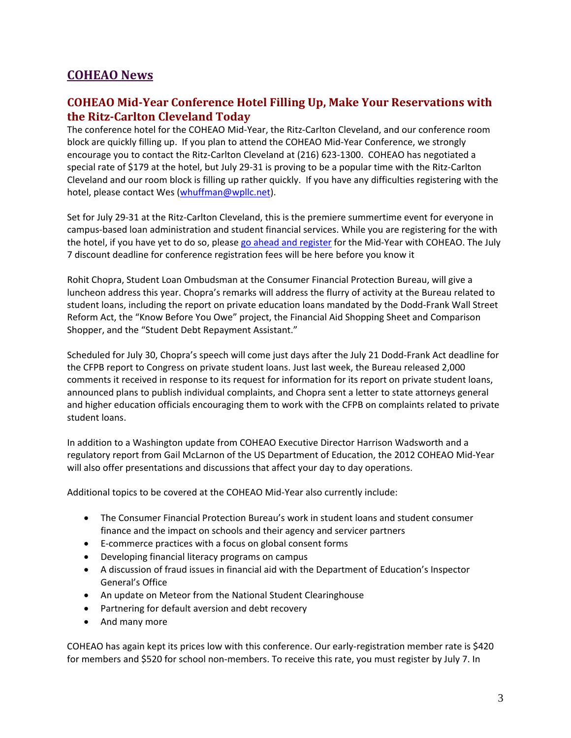## **COHEAO News**

## <span id="page-2-0"></span>**COHEAO Mid-Year Conference Hotel Filling Up, Make Your Reservations with the Ritz-Carlton Cleveland Today**

The conference hotel for the COHEAO Mid-Year, the Ritz-Carlton Cleveland, and our conference room block are quickly filling up. If you plan to attend the COHEAO Mid-Year Conference, we strongly encourage you to contact the Ritz-Carlton Cleveland at (216) 623-1300. COHEAO has negotiated a special rate of \$179 at the hotel, but July 29-31 is proving to be a popular time with the Ritz-Carlton Cleveland and our room block is filling up rather quickly. If you have any difficulties registering with the hotel, please contact Wes [\(whuffman@wpllc.net\)](mailto:whuffman@wpllc.net).

Set for July 29-31 at the Ritz-Carlton Cleveland, this is the premiere summertime event for everyone in campus-based loan administration and student financial services. While you are registering for the with the hotel, if you have yet to do so, pleas[e go ahead and register](http://www.coheao.com/conference-events/upcoming-events/2012-annual-conference-2/) for the Mid-Year with COHEAO. The July 7 discount deadline for conference registration fees will be here before you know it

Rohit Chopra, Student Loan Ombudsman at the Consumer Financial Protection Bureau, will give a luncheon address this year. Chopra's remarks will address the flurry of activity at the Bureau related to student loans, including the report on private education loans mandated by the Dodd-Frank Wall Street Reform Act, the "Know Before You Owe" project, the Financial Aid Shopping Sheet and Comparison Shopper, and the "Student Debt Repayment Assistant."

Scheduled for July 30, Chopra's speech will come just days after the July 21 Dodd-Frank Act deadline for the CFPB report to Congress on private student loans. Just last week, the Bureau released 2,000 comments it received in response to its request for information for its report on private student loans, announced plans to publish individual complaints, and Chopra sent a letter to state attorneys general and higher education officials encouraging them to work with the CFPB on complaints related to private student loans.

In addition to a Washington update from COHEAO Executive Director Harrison Wadsworth and a regulatory report from Gail McLarnon of the US Department of Education, the 2012 COHEAO Mid-Year will also offer presentations and discussions that affect your day to day operations.

Additional topics to be covered at the COHEAO Mid-Year also currently include:

- The Consumer Financial Protection Bureau's work in student loans and student consumer finance and the impact on schools and their agency and servicer partners
- E-commerce practices with a focus on global consent forms
- Developing financial literacy programs on campus
- A discussion of fraud issues in financial aid with the Department of Education's Inspector General's Office
- An update on Meteor from the National Student Clearinghouse
- Partnering for default aversion and debt recovery
- And many more

COHEAO has again kept its prices low with this conference. Our early-registration member rate is \$420 for members and \$520 for school non-members. To receive this rate, you must register by July 7. In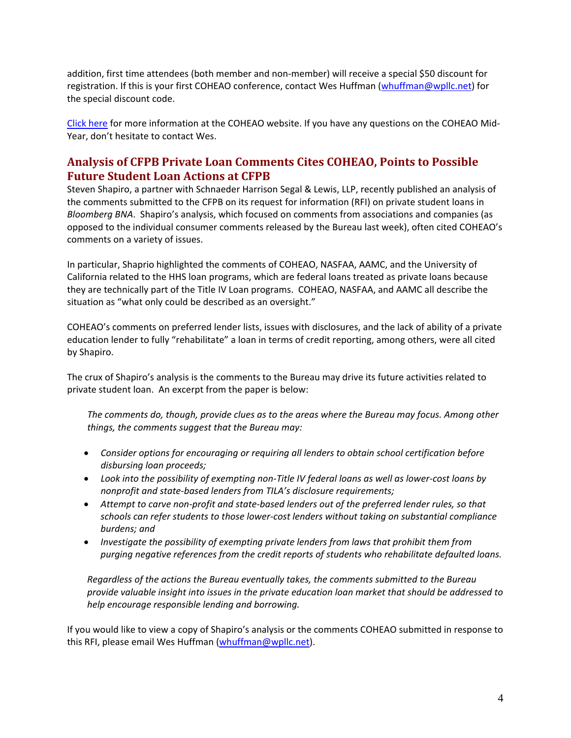addition, first time attendees (both member and non-member) will receive a special \$50 discount for registration. If this is your first COHEAO conference, contact Wes Huffman [\(whuffman@wpllc.net\)](mailto:whuffman@wpllc.net) for the special discount code.

[Click here](http://www.coheao.com/conference-events/upcoming-events/2012-annual-conference-2/) for more information at the COHEAO website. If you have any questions on the COHEAO Mid-Year, don't hesitate to contact Wes.

## <span id="page-3-0"></span>**Analysis of CFPB Private Loan Comments Cites COHEAO, Points to Possible Future Student Loan Actions at CFPB**

Steven Shapiro, a partner with Schnaeder Harrison Segal & Lewis, LLP, recently published an analysis of the comments submitted to the CFPB on its request for information (RFI) on private student loans in *Bloomberg BNA*. Shapiro's analysis, which focused on comments from associations and companies (as opposed to the individual consumer comments released by the Bureau last week), often cited COHEAO's comments on a variety of issues.

In particular, Shaprio highlighted the comments of COHEAO, NASFAA, AAMC, and the University of California related to the HHS loan programs, which are federal loans treated as private loans because they are technically part of the Title IV Loan programs. COHEAO, NASFAA, and AAMC all describe the situation as "what only could be described as an oversight."

COHEAO's comments on preferred lender lists, issues with disclosures, and the lack of ability of a private education lender to fully "rehabilitate" a loan in terms of credit reporting, among others, were all cited by Shapiro.

The crux of Shapiro's analysis is the comments to the Bureau may drive its future activities related to private student loan. An excerpt from the paper is below:

*The comments do, though, provide clues as to the areas where the Bureau may focus. Among other things, the comments suggest that the Bureau may:*

- *Consider options for encouraging or requiring all lenders to obtain school certification before disbursing loan proceeds;*
- *Look into the possibility of exempting non-Title IV federal loans as well as lower-cost loans by nonprofit and state-based lenders from TILA's disclosure requirements;*
- *Attempt to carve non-profit and state-based lenders out of the preferred lender rules, so that schools can refer students to those lower-cost lenders without taking on substantial compliance burdens; and*
- *Investigate the possibility of exempting private lenders from laws that prohibit them from purging negative references from the credit reports of students who rehabilitate defaulted loans.*

*Regardless of the actions the Bureau eventually takes, the comments submitted to the Bureau provide valuable insight into issues in the private education loan market that should be addressed to help encourage responsible lending and borrowing.*

If you would like to view a copy of Shapiro's analysis or the comments COHEAO submitted in response to this RFI, please email Wes Huffman [\(whuffman@wpllc.net\)](mailto:whuffman@wpllc.net).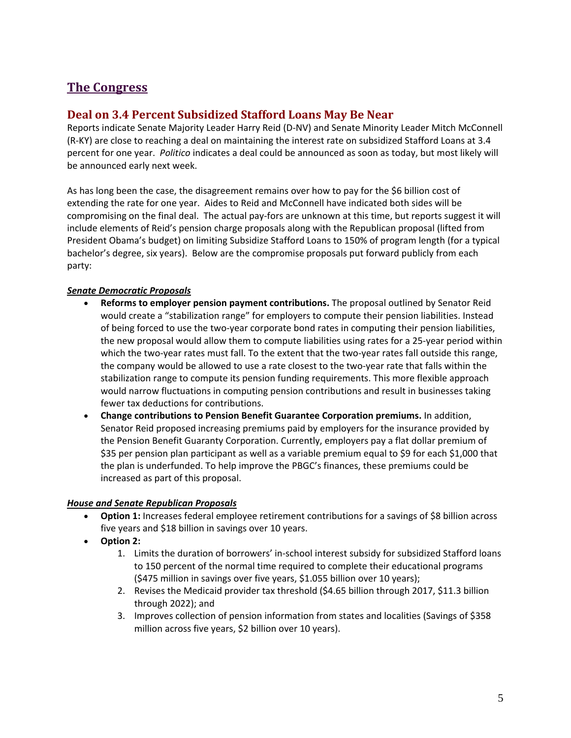## **The Congress**

### <span id="page-4-0"></span>**Deal on 3.4 Percent Subsidized Stafford Loans May Be Near**

Reports indicate Senate Majority Leader Harry Reid (D-NV) and Senate Minority Leader Mitch McConnell (R-KY) are close to reaching a deal on maintaining the interest rate on subsidized Stafford Loans at 3.4 percent for one year. *Politico* indicates a deal could be announced as soon as today, but most likely will be announced early next week.

As has long been the case, the disagreement remains over how to pay for the \$6 billion cost of extending the rate for one year. Aides to Reid and McConnell have indicated both sides will be compromising on the final deal. The actual pay-fors are unknown at this time, but reports suggest it will include elements of Reid's pension charge proposals along with the Republican proposal (lifted from President Obama's budget) on limiting Subsidize Stafford Loans to 150% of program length (for a typical bachelor's degree, six years). Below are the compromise proposals put forward publicly from each party:

#### *Senate Democratic Proposals*

- **Reforms to employer pension payment contributions.** The proposal outlined by Senator Reid would create a "stabilization range" for employers to compute their pension liabilities. Instead of being forced to use the two-year corporate bond rates in computing their pension liabilities, the new proposal would allow them to compute liabilities using rates for a 25-year period within which the two-year rates must fall. To the extent that the two-year rates fall outside this range, the company would be allowed to use a rate closest to the two-year rate that falls within the stabilization range to compute its pension funding requirements. This more flexible approach would narrow fluctuations in computing pension contributions and result in businesses taking fewer tax deductions for contributions.
- **Change contributions to Pension Benefit Guarantee Corporation premiums.** In addition, Senator Reid proposed increasing premiums paid by employers for the insurance provided by the Pension Benefit Guaranty Corporation. Currently, employers pay a flat dollar premium of \$35 per pension plan participant as well as a variable premium equal to \$9 for each \$1,000 that the plan is underfunded. To help improve the PBGC's finances, these premiums could be increased as part of this proposal.

#### *House and Senate Republican Proposals*

- **Option 1:** Increases federal employee retirement contributions for a savings of \$8 billion across five years and \$18 billion in savings over 10 years.
- **Option 2:** 
	- 1. Limits the duration of borrowers' in-school interest subsidy for subsidized Stafford loans to 150 percent of the normal time required to complete their educational programs (\$475 million in savings over five years, \$1.055 billion over 10 years);
	- 2. Revises the Medicaid provider tax threshold (\$4.65 billion through 2017, \$11.3 billion through 2022); and
	- 3. Improves collection of pension information from states and localities (Savings of \$358 million across five years, \$2 billion over 10 years).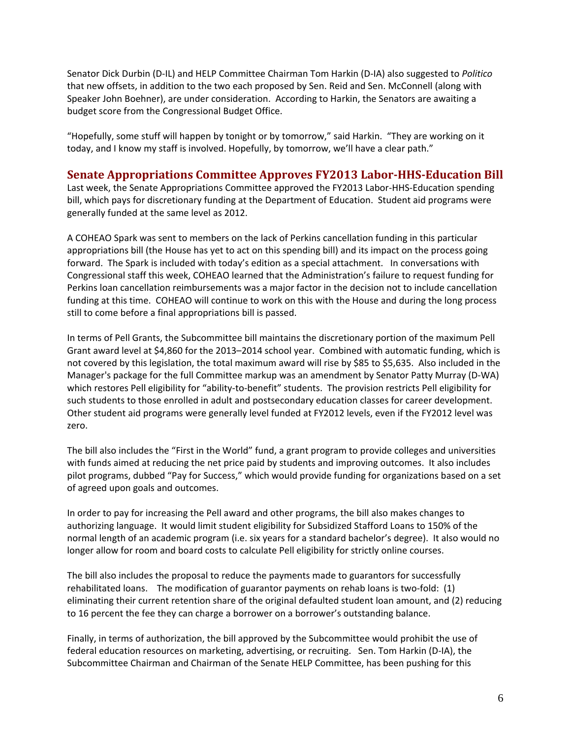Senator Dick Durbin (D-IL) and HELP Committee Chairman Tom Harkin (D-IA) also suggested to *Politico* that new offsets, in addition to the two each proposed by Sen. Reid and Sen. McConnell (along with Speaker John Boehner), are under consideration. According to Harkin, the Senators are awaiting a budget score from the Congressional Budget Office.

"Hopefully, some stuff will happen by tonight or by tomorrow," said Harkin. "They are working on it today, and I know my staff is involved. Hopefully, by tomorrow, we'll have a clear path."

#### <span id="page-5-0"></span>**Senate Appropriations Committee Approves FY2013 Labor-HHS-Education Bill**

Last week, the Senate Appropriations Committee approved the FY2013 Labor-HHS-Education spending bill, which pays for discretionary funding at the Department of Education. Student aid programs were generally funded at the same level as 2012.

A COHEAO Spark was sent to members on the lack of Perkins cancellation funding in this particular appropriations bill (the House has yet to act on this spending bill) and its impact on the process going forward. The Spark is included with today's edition as a special attachment. In conversations with Congressional staff this week, COHEAO learned that the Administration's failure to request funding for Perkins loan cancellation reimbursements was a major factor in the decision not to include cancellation funding at this time. COHEAO will continue to work on this with the House and during the long process still to come before a final appropriations bill is passed.

In terms of Pell Grants, the Subcommittee bill maintains the discretionary portion of the maximum Pell Grant award level at \$4,860 for the 2013–2014 school year. Combined with automatic funding, which is not covered by this legislation, the total maximum award will rise by \$85 to \$5,635. Also included in the Manager's package for the full Committee markup was an amendment by Senator Patty Murray (D-WA) which restores Pell eligibility for "ability-to-benefit" students. The provision restricts Pell eligibility for such students to those enrolled in adult and postsecondary education classes for career development. Other student aid programs were generally level funded at FY2012 levels, even if the FY2012 level was zero.

The bill also includes the "First in the World" fund, a grant program to provide colleges and universities with funds aimed at reducing the net price paid by students and improving outcomes. It also includes pilot programs, dubbed "Pay for Success," which would provide funding for organizations based on a set of agreed upon goals and outcomes.

In order to pay for increasing the Pell award and other programs, the bill also makes changes to authorizing language. It would limit student eligibility for Subsidized Stafford Loans to 150% of the normal length of an academic program (i.e. six years for a standard bachelor's degree). It also would no longer allow for room and board costs to calculate Pell eligibility for strictly online courses.

The bill also includes the proposal to reduce the payments made to guarantors for successfully rehabilitated loans. The modification of guarantor payments on rehab loans is two-fold: (1) eliminating their current retention share of the original defaulted student loan amount, and (2) reducing to 16 percent the fee they can charge a borrower on a borrower's outstanding balance.

Finally, in terms of authorization, the bill approved by the Subcommittee would prohibit the use of federal education resources on marketing, advertising, or recruiting. Sen. Tom Harkin (D-IA), the Subcommittee Chairman and Chairman of the Senate HELP Committee, has been pushing for this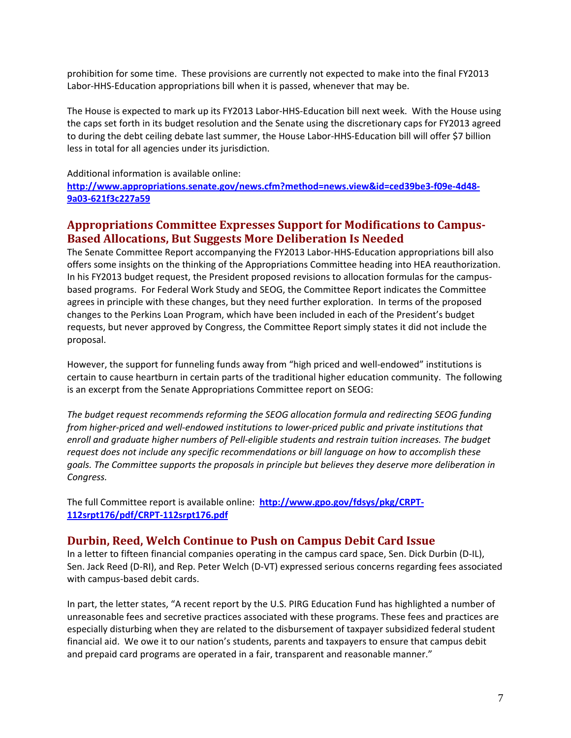prohibition for some time. These provisions are currently not expected to make into the final FY2013 Labor-HHS-Education appropriations bill when it is passed, whenever that may be.

The House is expected to mark up its FY2013 Labor-HHS-Education bill next week. With the House using the caps set forth in its budget resolution and the Senate using the discretionary caps for FY2013 agreed to during the debt ceiling debate last summer, the House Labor-HHS-Education bill will offer \$7 billion less in total for all agencies under its jurisdiction.

Additional information is available online:

**[http://www.appropriations.senate.gov/news.cfm?method=news.view&id=ced39be3-f09e-4d48-](http://www.appropriations.senate.gov/news.cfm?method=news.view&id=ced39be3-f09e-4d48-9a03-621f3c227a59) [9a03-621f3c227a59](http://www.appropriations.senate.gov/news.cfm?method=news.view&id=ced39be3-f09e-4d48-9a03-621f3c227a59)**

### <span id="page-6-0"></span>**Appropriations Committee Expresses Support for Modifications to Campus-Based Allocations, But Suggests More Deliberation Is Needed**

The Senate Committee Report accompanying the FY2013 Labor-HHS-Education appropriations bill also offers some insights on the thinking of the Appropriations Committee heading into HEA reauthorization. In his FY2013 budget request, the President proposed revisions to allocation formulas for the campusbased programs. For Federal Work Study and SEOG, the Committee Report indicates the Committee agrees in principle with these changes, but they need further exploration. In terms of the proposed changes to the Perkins Loan Program, which have been included in each of the President's budget requests, but never approved by Congress, the Committee Report simply states it did not include the proposal.

However, the support for funneling funds away from "high priced and well-endowed" institutions is certain to cause heartburn in certain parts of the traditional higher education community. The following is an excerpt from the Senate Appropriations Committee report on SEOG:

*The budget request recommends reforming the SEOG allocation formula and redirecting SEOG funding from higher-priced and well-endowed institutions to lower-priced public and private institutions that enroll and graduate higher numbers of Pell-eligible students and restrain tuition increases. The budget request does not include any specific recommendations or bill language on how to accomplish these goals. The Committee supports the proposals in principle but believes they deserve more deliberation in Congress.*

The full Committee report is available online: **[http://www.gpo.gov/fdsys/pkg/CRPT-](http://www.gpo.gov/fdsys/pkg/CRPT-112srpt176/pdf/CRPT-112srpt176.pdf)[112srpt176/pdf/CRPT-112srpt176.pdf](http://www.gpo.gov/fdsys/pkg/CRPT-112srpt176/pdf/CRPT-112srpt176.pdf)**

### <span id="page-6-1"></span>**Durbin, Reed, Welch Continue to Push on Campus Debit Card Issue**

In a letter to fifteen financial companies operating in the campus card space, Sen. Dick Durbin (D-IL), Sen. Jack Reed (D-RI), and Rep. Peter Welch (D-VT) expressed serious concerns regarding fees associated with campus-based debit cards.

In part, the letter states, "A recent report by the U.S. PIRG Education Fund has highlighted a number of unreasonable fees and secretive practices associated with these programs. These fees and practices are especially disturbing when they are related to the disbursement of taxpayer subsidized federal student financial aid. We owe it to our nation's students, parents and taxpayers to ensure that campus debit and prepaid card programs are operated in a fair, transparent and reasonable manner."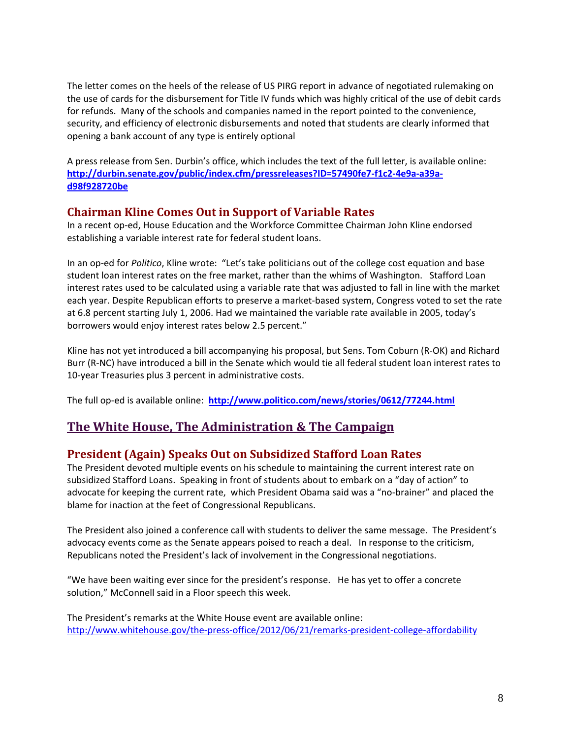The letter comes on the heels of the release of US PIRG report in advance of negotiated rulemaking on the use of cards for the disbursement for Title IV funds which was highly critical of the use of debit cards for refunds. Many of the schools and companies named in the report pointed to the convenience, security, and efficiency of electronic disbursements and noted that students are clearly informed that opening a bank account of any type is entirely optional

A press release from Sen. Durbin's office, which includes the text of the full letter, is available online: **[http://durbin.senate.gov/public/index.cfm/pressreleases?ID=57490fe7-f1c2-4e9a-a39a](http://durbin.senate.gov/public/index.cfm/pressreleases?ID=57490fe7-f1c2-4e9a-a39a-d98f928720be)[d98f928720be](http://durbin.senate.gov/public/index.cfm/pressreleases?ID=57490fe7-f1c2-4e9a-a39a-d98f928720be)**

#### <span id="page-7-0"></span>**Chairman Kline Comes Out in Support of Variable Rates**

In a recent op-ed, House Education and the Workforce Committee Chairman John Kline endorsed establishing a variable interest rate for federal student loans.

In an op-ed for *Politico*, Kline wrote: "Let's take politicians out of the college cost equation and base student loan interest rates on the free market, rather than the whims of Washington. Stafford Loan interest rates used to be calculated using a variable rate that was adjusted to fall in line with the market each year. Despite Republican efforts to preserve a market-based system, Congress voted to set the rate at 6.8 percent starting July 1, 2006. Had we maintained the variable rate available in 2005, today's borrowers would enjoy interest rates below 2.5 percent."

Kline has not yet introduced a bill accompanying his proposal, but Sens. Tom Coburn (R-OK) and Richard Burr (R-NC) have introduced a bill in the Senate which would tie all federal student loan interest rates to 10-year Treasuries plus 3 percent in administrative costs.

The full op-ed is available online: **<http://www.politico.com/news/stories/0612/77244.html>**

## **The White House, The Administration & The Campaign**

#### <span id="page-7-1"></span>**President (Again) Speaks Out on Subsidized Stafford Loan Rates**

The President devoted multiple events on his schedule to maintaining the current interest rate on subsidized Stafford Loans. Speaking in front of students about to embark on a "day of action" to advocate for keeping the current rate, which President Obama said was a "no-brainer" and placed the blame for inaction at the feet of Congressional Republicans.

The President also joined a conference call with students to deliver the same message. The President's advocacy events come as the Senate appears poised to reach a deal. In response to the criticism, Republicans noted the President's lack of involvement in the Congressional negotiations.

"We have been waiting ever since for the president's response. He has yet to offer a concrete solution," McConnell said in a Floor speech this week.

The President's remarks at the White House event are available online: <http://www.whitehouse.gov/the-press-office/2012/06/21/remarks-president-college-affordability>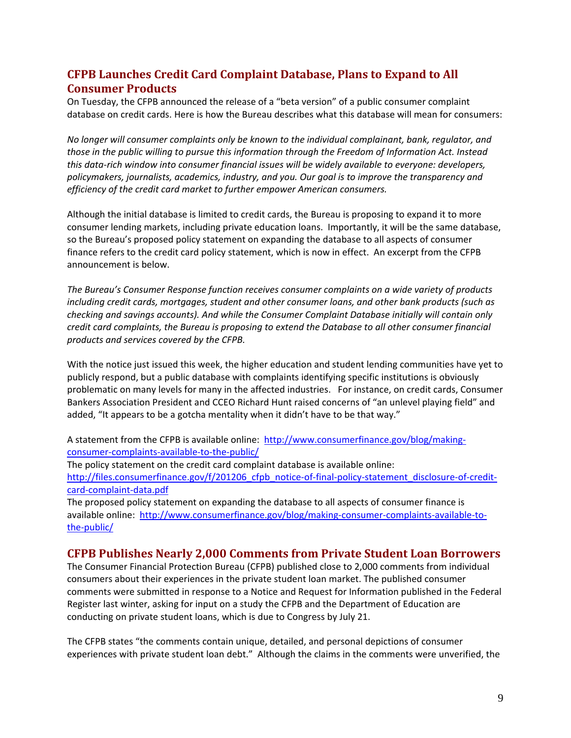## <span id="page-8-0"></span>**CFPB Launches Credit Card Complaint Database, Plans to Expand to All Consumer Products**

On Tuesday, the CFPB announced the release of a "beta version" of a public consumer complaint database on credit cards. Here is how the Bureau describes what this database will mean for consumers:

*No longer will consumer complaints only be known to the individual complainant, bank, regulator, and those in the public willing to pursue this information through the Freedom of Information Act. Instead this data-rich window into consumer financial issues will be widely available to everyone: developers, policymakers, journalists, academics, industry, and you. Our goal is to improve the transparency and efficiency of the credit card market to further empower American consumers.*

Although the initial database is limited to credit cards, the Bureau is proposing to expand it to more consumer lending markets, including private education loans. Importantly, it will be the same database, so the Bureau's proposed policy statement on expanding the database to all aspects of consumer finance refers to the credit card policy statement, which is now in effect. An excerpt from the CFPB announcement is below.

*The Bureau's Consumer Response function receives consumer complaints on a wide variety of products including credit cards, mortgages, student and other consumer loans, and other bank products (such as checking and savings accounts). And while the Consumer Complaint Database initially will contain only credit card complaints, the Bureau is proposing to extend the Database to all other consumer financial products and services covered by the CFPB.*

With the notice just issued this week, the higher education and student lending communities have yet to publicly respond, but a public database with complaints identifying specific institutions is obviously problematic on many levels for many in the affected industries. For instance, on credit cards, Consumer Bankers Association President and CCEO Richard Hunt raised concerns of "an unlevel playing field" and added, "It appears to be a gotcha mentality when it didn't have to be that way."

A statement from the CFPB is available online: [http://www.consumerfinance.gov/blog/making](http://www.consumerfinance.gov/blog/making-consumer-complaints-available-to-the-public/)[consumer-complaints-available-to-the-public/](http://www.consumerfinance.gov/blog/making-consumer-complaints-available-to-the-public/) 

The policy statement on the credit card complaint database is available online: [http://files.consumerfinance.gov/f/201206\\_cfpb\\_notice-of-final-policy-statement\\_disclosure-of-credit](http://files.consumerfinance.gov/f/201206_cfpb_notice-of-final-policy-statement_disclosure-of-credit-card-complaint-data.pdf)[card-complaint-data.pdf](http://files.consumerfinance.gov/f/201206_cfpb_notice-of-final-policy-statement_disclosure-of-credit-card-complaint-data.pdf)

The proposed policy statement on expanding the database to all aspects of consumer finance is available online: [http://www.consumerfinance.gov/blog/making-consumer-complaints-available-to](http://www.consumerfinance.gov/blog/making-consumer-complaints-available-to-the-public/)[the-public/](http://www.consumerfinance.gov/blog/making-consumer-complaints-available-to-the-public/)

#### <span id="page-8-1"></span>**CFPB Publishes Nearly 2,000 Comments from Private Student Loan Borrowers**

The Consumer Financial Protection Bureau (CFPB) published close to 2,000 comments from individual consumers about their experiences in the private student loan market. The published consumer comments were submitted in response to a Notice and Request for Information published in the Federal Register last winter, asking for input on a study the CFPB and the Department of Education are conducting on private student loans, which is due to Congress by July 21.

The CFPB states "the comments contain unique, detailed, and personal depictions of consumer experiences with private student loan debt." Although the claims in the comments were unverified, the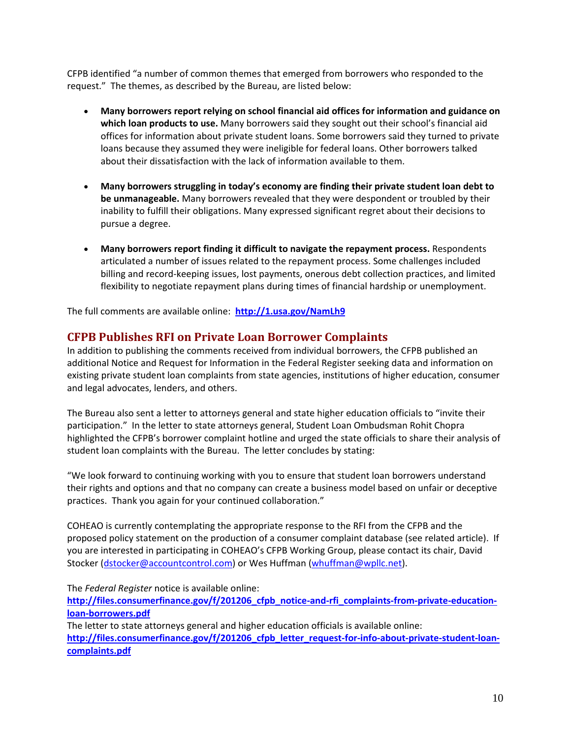CFPB identified "a number of common themes that emerged from borrowers who responded to the request." The themes, as described by the Bureau, are listed below:

- **Many borrowers report relying on school financial aid offices for information and guidance on which loan products to use.** Many borrowers said they sought out their school's financial aid offices for information about private student loans. Some borrowers said they turned to private loans because they assumed they were ineligible for federal loans. Other borrowers talked about their dissatisfaction with the lack of information available to them.
- **Many borrowers struggling in today's economy are finding their private student loan debt to be unmanageable.** Many borrowers revealed that they were despondent or troubled by their inability to fulfill their obligations. Many expressed significant regret about their decisions to pursue a degree.
- **Many borrowers report finding it difficult to navigate the repayment process.** Respondents articulated a number of issues related to the repayment process. Some challenges included billing and record-keeping issues, lost payments, onerous debt collection practices, and limited flexibility to negotiate repayment plans during times of financial hardship or unemployment.

The full comments are available online: **<http://1.usa.gov/NamLh9>**

### <span id="page-9-0"></span>**CFPB Publishes RFI on Private Loan Borrower Complaints**

In addition to publishing the comments received from individual borrowers, the CFPB published an additional Notice and Request for Information in the Federal Register seeking data and information on existing private student loan complaints from state agencies, institutions of higher education, consumer and legal advocates, lenders, and others.

The Bureau also sent a letter to attorneys general and state higher education officials to "invite their participation." In the letter to state attorneys general, Student Loan Ombudsman Rohit Chopra highlighted the CFPB's borrower complaint hotline and urged the state officials to share their analysis of student loan complaints with the Bureau. The letter concludes by stating:

"We look forward to continuing working with you to ensure that student loan borrowers understand their rights and options and that no company can create a business model based on unfair or deceptive practices. Thank you again for your continued collaboration."

COHEAO is currently contemplating the appropriate response to the RFI from the CFPB and the proposed policy statement on the production of a consumer complaint database (see related article). If you are interested in participating in COHEAO's CFPB Working Group, please contact its chair, David Stocker [\(dstocker@accountcontrol.com\)](mailto:dstocker@accountcontrol.com) or Wes Huffman [\(whuffman@wpllc.net\)](mailto:whuffman@wpllc.net).

The *Federal Register* notice is available online:

http://files.consumerfinance.gov/f/201206 cfpb notice-and-rfi complaints-from-private-education**[loan-borrowers.pdf](http://files.consumerfinance.gov/f/201206_cfpb_notice-and-rfi_complaints-from-private-education-loan-borrowers.pdf)**

The letter to state attorneys general and higher education officials is available online: http://files.consumerfinance.gov/f/201206 cfpb letter request-for-info-about-private-student-loan**[complaints.pdf](http://files.consumerfinance.gov/f/201206_cfpb_letter_request-for-info-about-private-student-loan-complaints.pdf)**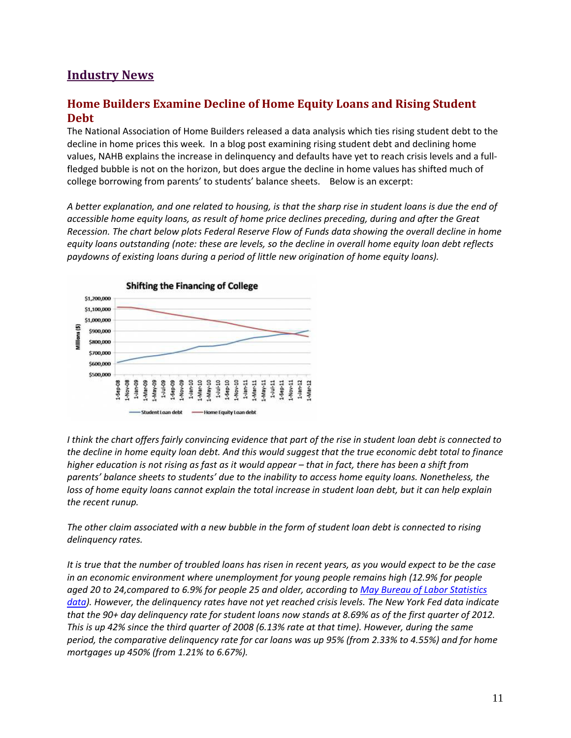# **Industry News**

### <span id="page-10-0"></span>**Home Builders Examine Decline of Home Equity Loans and Rising Student Debt**

The National Association of Home Builders released a data analysis which ties rising student debt to the decline in home prices this week. In a blog post examining rising student debt and declining home values, NAHB explains the increase in delinquency and defaults have yet to reach crisis levels and a fullfledged bubble is not on the horizon, but does argue the decline in home values has shifted much of college borrowing from parents' to students' balance sheets. Below is an excerpt:

*A better explanation, and one related to housing, is that the sharp rise in student loans is due the end of accessible home equity loans, as result of home price declines preceding, during and after the Great Recession. The chart below plots Federal Reserve Flow of Funds data showing the overall decline in home equity loans outstanding (note: these are levels, so the decline in overall home equity loan debt reflects paydowns of existing loans during a period of little new origination of home equity loans).*



*I think the chart offers fairly convincing evidence that part of the rise in student loan debt is connected to the decline in home equity loan debt. And this would suggest that the true economic debt total to finance higher education is not rising as fast as it would appear – that in fact, there has been a shift from parents' balance sheets to students' due to the inability to access home equity loans. Nonetheless, the loss of home equity loans cannot explain the total increase in student loan debt, but it can help explain the recent runup.*

*The other claim associated with a new bubble in the form of student loan debt is connected to rising delinquency rates.*

*It is true that the number of troubled loans has risen in recent years, as you would expect to be the case in an economic environment where unemployment for young people remains high (12.9% for people aged 20 to 24,compared to 6.9% for people 25 and older, according to [May Bureau of Labor Statistics](http://www.bls.gov/web/empsit/cpseea10.htm)  [data\)](http://www.bls.gov/web/empsit/cpseea10.htm). However, the delinquency rates have not yet reached crisis levels. The New York Fed data indicate that the 90+ day delinquency rate for student loans now stands at 8.69% as of the first quarter of 2012. This is up 42% since the third quarter of 2008 (6.13% rate at that time). However, during the same period, the comparative delinquency rate for car loans was up 95% (from 2.33% to 4.55%) and for home mortgages up 450% (from 1.21% to 6.67%).*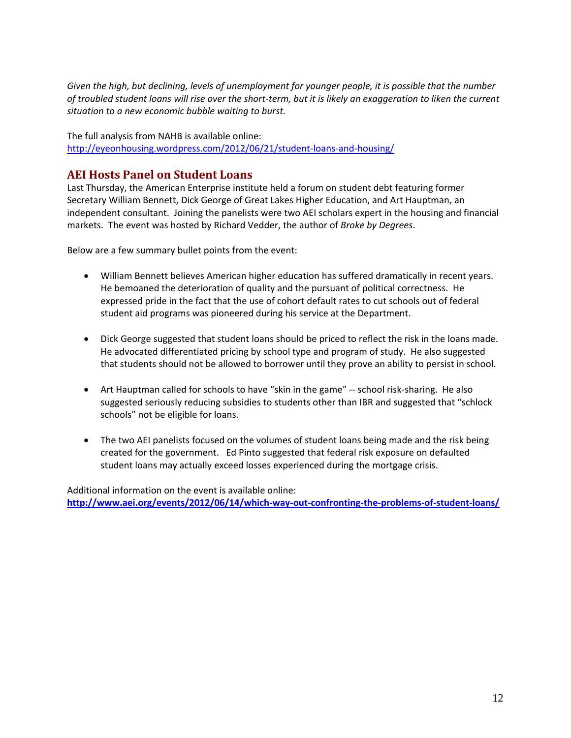*Given the high, but declining, levels of unemployment for younger people, it is possible that the number of troubled student loans will rise over the short-term, but it is likely an exaggeration to liken the current situation to a new economic bubble waiting to burst.*

The full analysis from NAHB is available online: <http://eyeonhousing.wordpress.com/2012/06/21/student-loans-and-housing/>

### <span id="page-11-0"></span>**AEI Hosts Panel on Student Loans**

Last Thursday, the American Enterprise institute held a forum on student debt featuring former Secretary William Bennett, Dick George of Great Lakes Higher Education, and Art Hauptman, an independent consultant. Joining the panelists were two AEI scholars expert in the housing and financial markets. The event was hosted by Richard Vedder, the author of *Broke by Degrees*.

Below are a few summary bullet points from the event:

- William Bennett believes American higher education has suffered dramatically in recent years. He bemoaned the deterioration of quality and the pursuant of political correctness. He expressed pride in the fact that the use of cohort default rates to cut schools out of federal student aid programs was pioneered during his service at the Department.
- Dick George suggested that student loans should be priced to reflect the risk in the loans made. He advocated differentiated pricing by school type and program of study. He also suggested that students should not be allowed to borrower until they prove an ability to persist in school.
- Art Hauptman called for schools to have "skin in the game" -- school risk-sharing. He also suggested seriously reducing subsidies to students other than IBR and suggested that "schlock schools" not be eligible for loans.
- The two AEI panelists focused on the volumes of student loans being made and the risk being created for the government. Ed Pinto suggested that federal risk exposure on defaulted student loans may actually exceed losses experienced during the mortgage crisis.

Additional information on the event is available online: **<http://www.aei.org/events/2012/06/14/which-way-out-confronting-the-problems-of-student-loans/>**